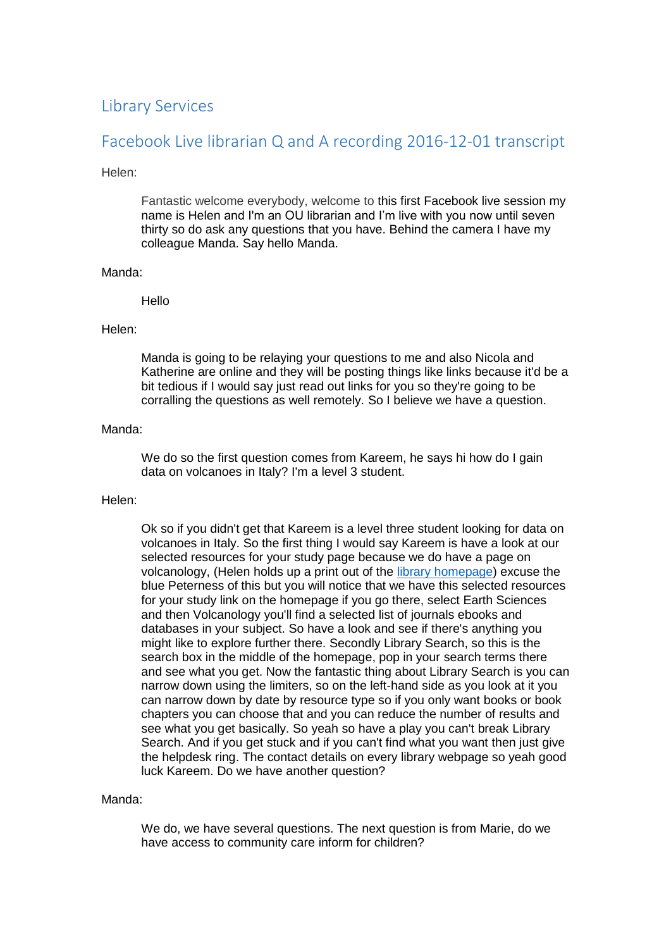# Library Services

# Facebook Live librarian Q and A recording 2016-12-01 transcript

# Helen:

Fantastic welcome everybody, welcome to this first Facebook live session my name is Helen and I'm an OU librarian and I'm live with you now until seven thirty so do ask any questions that you have. Behind the camera I have my colleague Manda. Say hello Manda.

# Manda:

# Hello

### Helen:

Manda is going to be relaying your questions to me and also Nicola and Katherine are online and they will be posting things like links because it'd be a bit tedious if I would say just read out links for you so they're going to be corralling the questions as well remotely. So I believe we have a question.

### Manda:

We do so the first question comes from Kareem, he says hi how do I gain data on volcanoes in Italy? I'm a level 3 student.

# Helen:

Ok so if you didn't get that Kareem is a level three student looking for data on volcanoes in Italy. So the first thing I would say Kareem is have a look at our selected resources for your study page because we do have a page on volcanology, (Helen holds up a print out of the [library homepage\)](http://www.open.ac.uk/library/) excuse the blue Peterness of this but you will notice that we have this selected resources for your study link on the homepage if you go there, select Earth Sciences and then Volcanology you'll find a selected list of journals ebooks and databases in your subject. So have a look and see if there's anything you might like to explore further there. Secondly Library Search, so this is the search box in the middle of the homepage, pop in your search terms there and see what you get. Now the fantastic thing about Library Search is you can narrow down using the limiters, so on the left-hand side as you look at it you can narrow down by date by resource type so if you only want books or book chapters you can choose that and you can reduce the number of results and see what you get basically. So yeah so have a play you can't break Library Search. And if you get stuck and if you can't find what you want then just give the helpdesk ring. The contact details on every library webpage so yeah good luck Kareem. Do we have another question?

#### Manda:

We do, we have several questions. The next question is from Marie, do we have access to community care inform for children?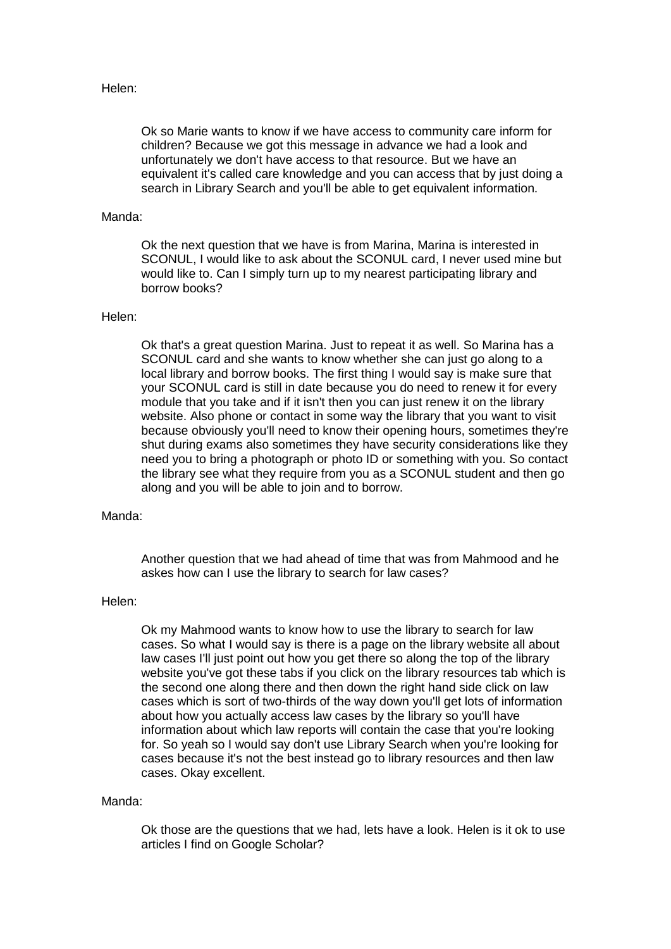# Helen:

Ok so Marie wants to know if we have access to community care inform for children? Because we got this message in advance we had a look and unfortunately we don't have access to that resource. But we have an equivalent it's called care knowledge and you can access that by just doing a search in Library Search and you'll be able to get equivalent information.

# Manda:

Ok the next question that we have is from Marina, Marina is interested in SCONUL, I would like to ask about the SCONUL card, I never used mine but would like to. Can I simply turn up to my nearest participating library and borrow books?

# Helen:

Ok that's a great question Marina. Just to repeat it as well. So Marina has a SCONUL card and she wants to know whether she can just go along to a local library and borrow books. The first thing I would say is make sure that your SCONUL card is still in date because you do need to renew it for every module that you take and if it isn't then you can just renew it on the library website. Also phone or contact in some way the library that you want to visit because obviously you'll need to know their opening hours, sometimes they're shut during exams also sometimes they have security considerations like they need you to bring a photograph or photo ID or something with you. So contact the library see what they require from you as a SCONUL student and then go along and you will be able to join and to borrow.

# Manda:

Another question that we had ahead of time that was from Mahmood and he askes how can I use the library to search for law cases?

#### Helen:

Ok my Mahmood wants to know how to use the library to search for law cases. So what I would say is there is a page on the library website all about law cases I'll just point out how you get there so along the top of the library website you've got these tabs if you click on the library resources tab which is the second one along there and then down the right hand side click on law cases which is sort of two-thirds of the way down you'll get lots of information about how you actually access law cases by the library so you'll have information about which law reports will contain the case that you're looking for. So yeah so I would say don't use Library Search when you're looking for cases because it's not the best instead go to library resources and then law cases. Okay excellent.

#### Manda:

Ok those are the questions that we had, lets have a look. Helen is it ok to use articles I find on Google Scholar?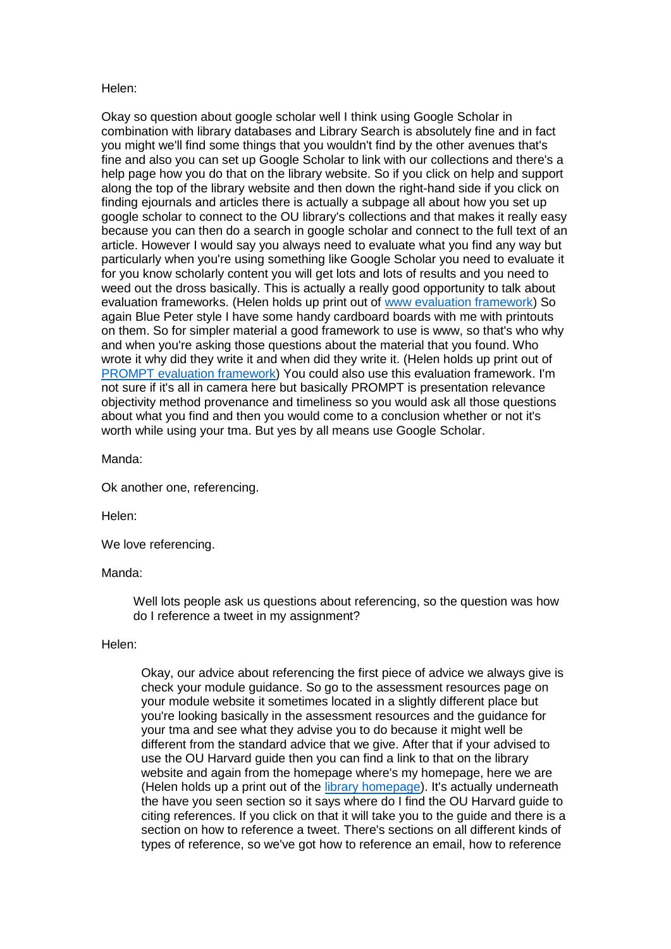# Helen:

Okay so question about google scholar well I think using Google Scholar in combination with library databases and Library Search is absolutely fine and in fact you might we'll find some things that you wouldn't find by the other avenues that's fine and also you can set up Google Scholar to link with our collections and there's a help page how you do that on the library website. So if you click on help and support along the top of the library website and then down the right-hand side if you click on finding ejournals and articles there is actually a subpage all about how you set up google scholar to connect to the OU library's collections and that makes it really easy because you can then do a search in google scholar and connect to the full text of an article. However I would say you always need to evaluate what you find any way but particularly when you're using something like Google Scholar you need to evaluate it for you know scholarly content you will get lots and lots of results and you need to weed out the dross basically. This is actually a really good opportunity to talk about evaluation frameworks. (Helen holds up print out of www [evaluation framework\)](http://www.open.ac.uk/library/help-and-support/finding-resources-for-your-assignment#97699) So again Blue Peter style I have some handy cardboard boards with me with printouts on them. So for simpler material a good framework to use is www, so that's who why and when you're asking those questions about the material that you found. Who wrote it why did they write it and when did they write it. (Helen holds up print out of [PROMPT evaluation framework\)](http://www.open.ac.uk/libraryservices/beingdigital/objects/87/media/prompt-checklist.doc) You could also use this evaluation framework. I'm not sure if it's all in camera here but basically PROMPT is presentation relevance objectivity method provenance and timeliness so you would ask all those questions about what you find and then you would come to a conclusion whether or not it's worth while using your tma. But yes by all means use Google Scholar.

Manda:

Ok another one, referencing.

Helen:

We love referencing.

# Manda:

Well lots people ask us questions about referencing, so the question was how do I reference a tweet in my assignment?

# Helen:

Okay, our advice about referencing the first piece of advice we always give is check your module guidance. So go to the assessment resources page on your module website it sometimes located in a slightly different place but you're looking basically in the assessment resources and the guidance for your tma and see what they advise you to do because it might well be different from the standard advice that we give. After that if your advised to use the OU Harvard guide then you can find a link to that on the library website and again from the homepage where's my homepage, here we are (Helen holds up a print out of the [library homepage\)](http://www.open.ac.uk/library/). It's actually underneath the have you seen section so it says where do I find the OU Harvard guide to citing references. If you click on that it will take you to the guide and there is a section on how to reference a tweet. There's sections on all different kinds of types of reference, so we've got how to reference an email, how to reference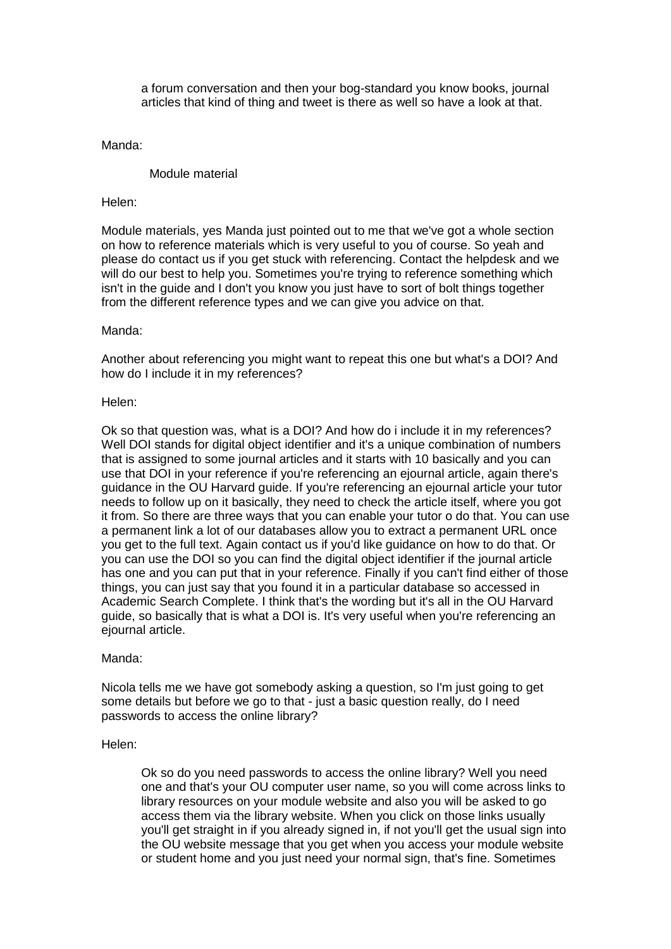a forum conversation and then your bog-standard you know books, journal articles that kind of thing and tweet is there as well so have a look at that.

Manda:

Module material

Helen:

Module materials, yes Manda just pointed out to me that we've got a whole section on how to reference materials which is very useful to you of course. So yeah and please do contact us if you get stuck with referencing. Contact the helpdesk and we will do our best to help you. Sometimes you're trying to reference something which isn't in the guide and I don't you know you just have to sort of bolt things together from the different reference types and we can give you advice on that.

Manda:

Another about referencing you might want to repeat this one but what's a DOI? And how do I include it in my references?

Helen:

Ok so that question was, what is a DOI? And how do i include it in my references? Well DOI stands for digital object identifier and it's a unique combination of numbers that is assigned to some journal articles and it starts with 10 basically and you can use that DOI in your reference if you're referencing an ejournal article, again there's guidance in the OU Harvard guide. If you're referencing an ejournal article your tutor needs to follow up on it basically, they need to check the article itself, where you got it from. So there are three ways that you can enable your tutor o do that. You can use a permanent link a lot of our databases allow you to extract a permanent URL once you get to the full text. Again contact us if you'd like guidance on how to do that. Or you can use the DOI so you can find the digital object identifier if the journal article has one and you can put that in your reference. Finally if you can't find either of those things, you can just say that you found it in a particular database so accessed in Academic Search Complete. I think that's the wording but it's all in the OU Harvard guide, so basically that is what a DOI is. It's very useful when you're referencing an ejournal article.

# Manda:

Nicola tells me we have got somebody asking a question, so I'm just going to get some details but before we go to that - just a basic question really, do I need passwords to access the online library?

# Helen:

Ok so do you need passwords to access the online library? Well you need one and that's your OU computer user name, so you will come across links to library resources on your module website and also you will be asked to go access them via the library website. When you click on those links usually you'll get straight in if you already signed in, if not you'll get the usual sign into the OU website message that you get when you access your module website or student home and you just need your normal sign, that's fine. Sometimes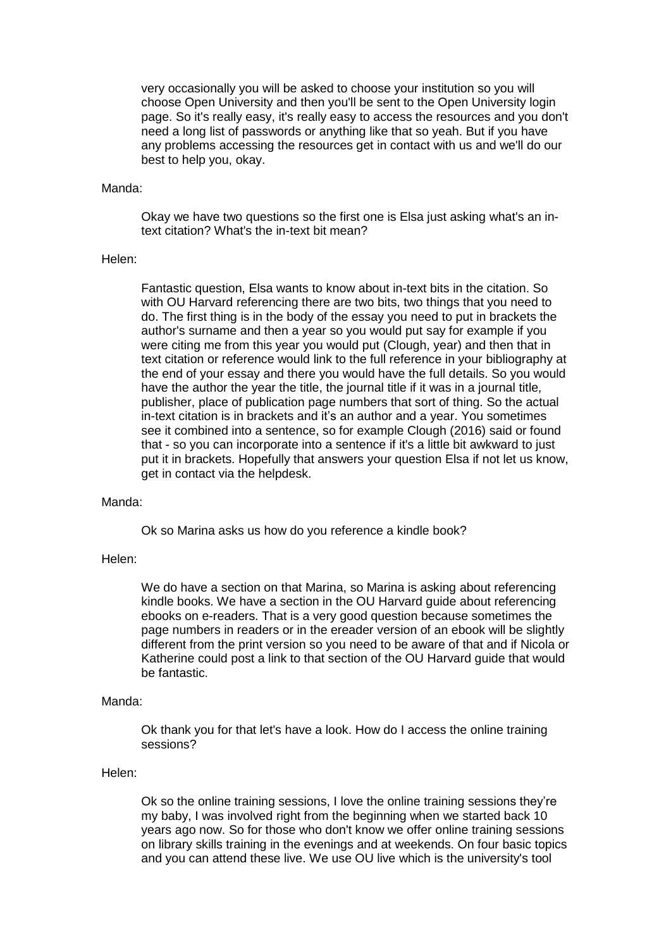very occasionally you will be asked to choose your institution so you will choose Open University and then you'll be sent to the Open University login page. So it's really easy, it's really easy to access the resources and you don't need a long list of passwords or anything like that so yeah. But if you have any problems accessing the resources get in contact with us and we'll do our best to help you, okay.

#### Manda:

Okay we have two questions so the first one is Elsa just asking what's an intext citation? What's the in-text bit mean?

#### Helen:

Fantastic question, Elsa wants to know about in-text bits in the citation. So with OU Harvard referencing there are two bits, two things that you need to do. The first thing is in the body of the essay you need to put in brackets the author's surname and then a year so you would put say for example if you were citing me from this year you would put (Clough, year) and then that in text citation or reference would link to the full reference in your bibliography at the end of your essay and there you would have the full details. So you would have the author the year the title, the journal title if it was in a journal title, publisher, place of publication page numbers that sort of thing. So the actual in-text citation is in brackets and it's an author and a year. You sometimes see it combined into a sentence, so for example Clough (2016) said or found that - so you can incorporate into a sentence if it's a little bit awkward to just put it in brackets. Hopefully that answers your question Elsa if not let us know, get in contact via the helpdesk.

# Manda:

Ok so Marina asks us how do you reference a kindle book?

#### Helen:

We do have a section on that Marina, so Marina is asking about referencing kindle books. We have a section in the OU Harvard guide about referencing ebooks on e-readers. That is a very good question because sometimes the page numbers in readers or in the ereader version of an ebook will be slightly different from the print version so you need to be aware of that and if Nicola or Katherine could post a link to that section of the OU Harvard guide that would be fantastic.

### Manda:

Ok thank you for that let's have a look. How do I access the online training sessions?

# Helen:

Ok so the online training sessions, I love the online training sessions they're my baby, I was involved right from the beginning when we started back 10 years ago now. So for those who don't know we offer online training sessions on library skills training in the evenings and at weekends. On four basic topics and you can attend these live. We use OU live which is the university's tool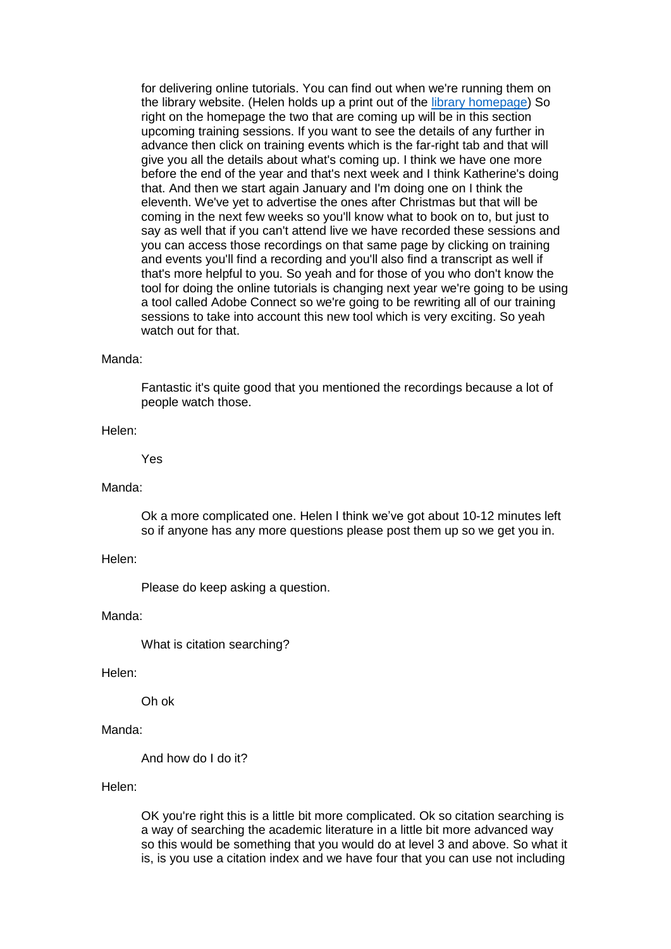for delivering online tutorials. You can find out when we're running them on the library website. (Helen holds up a print out of the [library homepage\)](http://www.open.ac.uk/library/) So right on the homepage the two that are coming up will be in this section upcoming training sessions. If you want to see the details of any further in advance then click on training events which is the far-right tab and that will give you all the details about what's coming up. I think we have one more before the end of the year and that's next week and I think Katherine's doing that. And then we start again January and I'm doing one on I think the eleventh. We've yet to advertise the ones after Christmas but that will be coming in the next few weeks so you'll know what to book on to, but just to say as well that if you can't attend live we have recorded these sessions and you can access those recordings on that same page by clicking on training and events you'll find a recording and you'll also find a transcript as well if that's more helpful to you. So yeah and for those of you who don't know the tool for doing the online tutorials is changing next year we're going to be using a tool called Adobe Connect so we're going to be rewriting all of our training sessions to take into account this new tool which is very exciting. So yeah watch out for that.

# Manda:

Fantastic it's quite good that you mentioned the recordings because a lot of people watch those.

Helen:

Yes

#### Manda:

Ok a more complicated one. Helen I think we've got about 10-12 minutes left so if anyone has any more questions please post them up so we get you in.

Helen:

Please do keep asking a question.

Manda:

What is citation searching?

#### Helen:

Oh ok

Manda:

And how do I do it?

Helen:

OK you're right this is a little bit more complicated. Ok so citation searching is a way of searching the academic literature in a little bit more advanced way so this would be something that you would do at level 3 and above. So what it is, is you use a citation index and we have four that you can use not including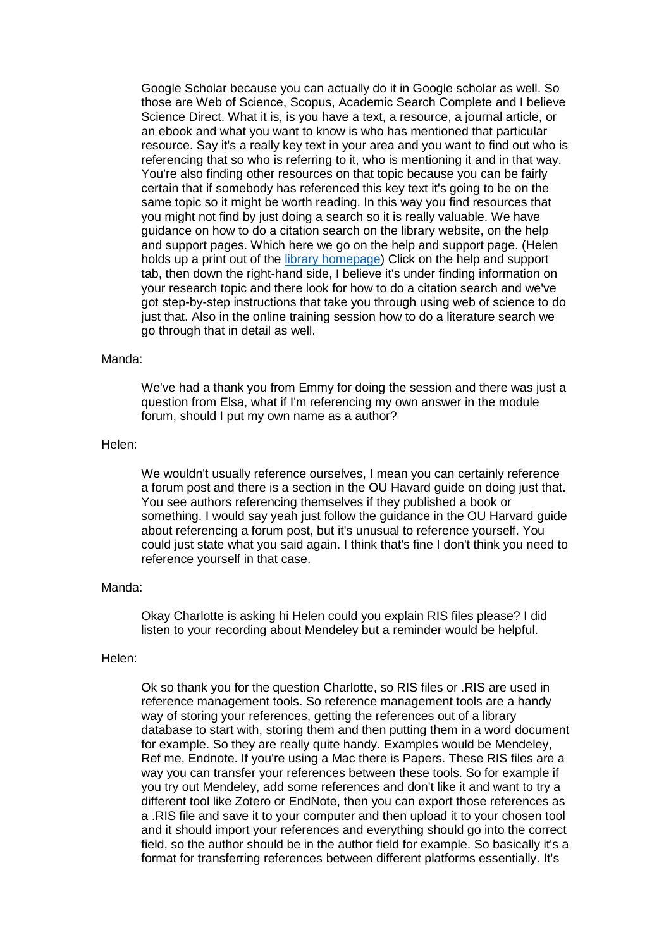Google Scholar because you can actually do it in Google scholar as well. So those are Web of Science, Scopus, Academic Search Complete and I believe Science Direct. What it is, is you have a text, a resource, a journal article, or an ebook and what you want to know is who has mentioned that particular resource. Say it's a really key text in your area and you want to find out who is referencing that so who is referring to it, who is mentioning it and in that way. You're also finding other resources on that topic because you can be fairly certain that if somebody has referenced this key text it's going to be on the same topic so it might be worth reading. In this way you find resources that you might not find by just doing a search so it is really valuable. We have guidance on how to do a citation search on the library website, on the help and support pages. Which here we go on the help and support page. (Helen holds up a print out of the [library homepage\)](http://www.open.ac.uk/library/) Click on the help and support tab, then down the right-hand side, I believe it's under finding information on your research topic and there look for how to do a citation search and we've got step-by-step instructions that take you through using web of science to do just that. Also in the online training session how to do a literature search we go through that in detail as well.

# Manda:

We've had a thank you from Emmy for doing the session and there was just a question from Elsa, what if I'm referencing my own answer in the module forum, should I put my own name as a author?

#### Helen:

We wouldn't usually reference ourselves, I mean you can certainly reference a forum post and there is a section in the OU Havard guide on doing just that. You see authors referencing themselves if they published a book or something. I would say yeah just follow the guidance in the OU Harvard guide about referencing a forum post, but it's unusual to reference yourself. You could just state what you said again. I think that's fine I don't think you need to reference yourself in that case.

# Manda:

Okay Charlotte is asking hi Helen could you explain RIS files please? I did listen to your recording about Mendeley but a reminder would be helpful.

# Helen:

Ok so thank you for the question Charlotte, so RIS files or .RIS are used in reference management tools. So reference management tools are a handy way of storing your references, getting the references out of a library database to start with, storing them and then putting them in a word document for example. So they are really quite handy. Examples would be Mendeley, Ref me, Endnote. If you're using a Mac there is Papers. These RIS files are a way you can transfer your references between these tools. So for example if you try out Mendeley, add some references and don't like it and want to try a different tool like Zotero or EndNote, then you can export those references as a .RIS file and save it to your computer and then upload it to your chosen tool and it should import your references and everything should go into the correct field, so the author should be in the author field for example. So basically it's a format for transferring references between different platforms essentially. It's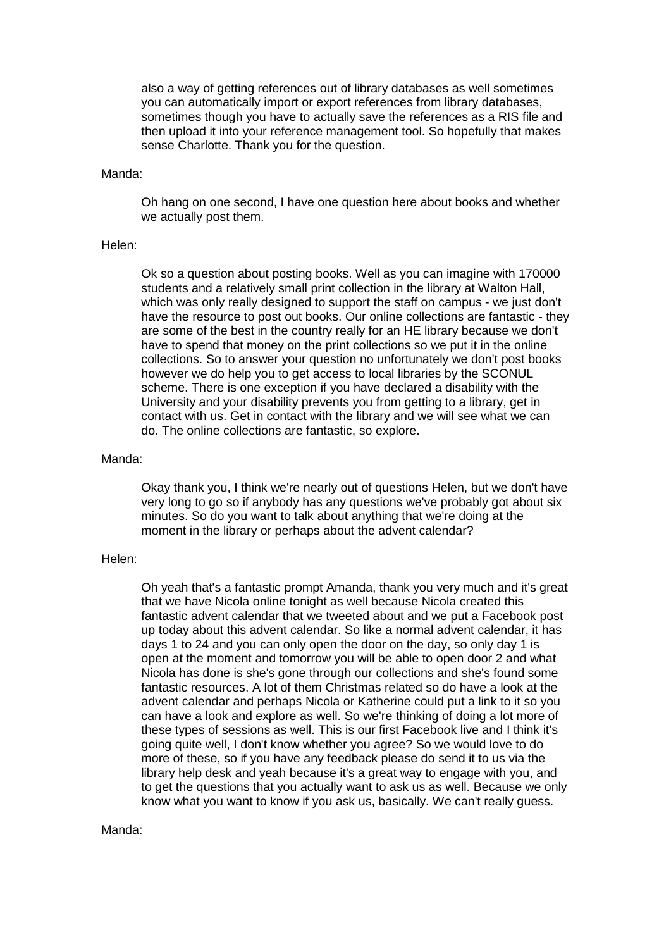also a way of getting references out of library databases as well sometimes you can automatically import or export references from library databases, sometimes though you have to actually save the references as a RIS file and then upload it into your reference management tool. So hopefully that makes sense Charlotte. Thank you for the question.

#### Manda:

Oh hang on one second, I have one question here about books and whether we actually post them.

# Helen:

Ok so a question about posting books. Well as you can imagine with 170000 students and a relatively small print collection in the library at Walton Hall, which was only really designed to support the staff on campus - we just don't have the resource to post out books. Our online collections are fantastic - they are some of the best in the country really for an HE library because we don't have to spend that money on the print collections so we put it in the online collections. So to answer your question no unfortunately we don't post books however we do help you to get access to local libraries by the SCONUL scheme. There is one exception if you have declared a disability with the University and your disability prevents you from getting to a library, get in contact with us. Get in contact with the library and we will see what we can do. The online collections are fantastic, so explore.

#### Manda:

Okay thank you, I think we're nearly out of questions Helen, but we don't have very long to go so if anybody has any questions we've probably got about six minutes. So do you want to talk about anything that we're doing at the moment in the library or perhaps about the advent calendar?

#### Helen:

Oh yeah that's a fantastic prompt Amanda, thank you very much and it's great that we have Nicola online tonight as well because Nicola created this fantastic advent calendar that we tweeted about and we put a Facebook post up today about this advent calendar. So like a normal advent calendar, it has days 1 to 24 and you can only open the door on the day, so only day 1 is open at the moment and tomorrow you will be able to open door 2 and what Nicola has done is she's gone through our collections and she's found some fantastic resources. A lot of them Christmas related so do have a look at the advent calendar and perhaps Nicola or Katherine could put a link to it so you can have a look and explore as well. So we're thinking of doing a lot more of these types of sessions as well. This is our first Facebook live and I think it's going quite well, I don't know whether you agree? So we would love to do more of these, so if you have any feedback please do send it to us via the library help desk and yeah because it's a great way to engage with you, and to get the questions that you actually want to ask us as well. Because we only know what you want to know if you ask us, basically. We can't really guess.

#### Manda: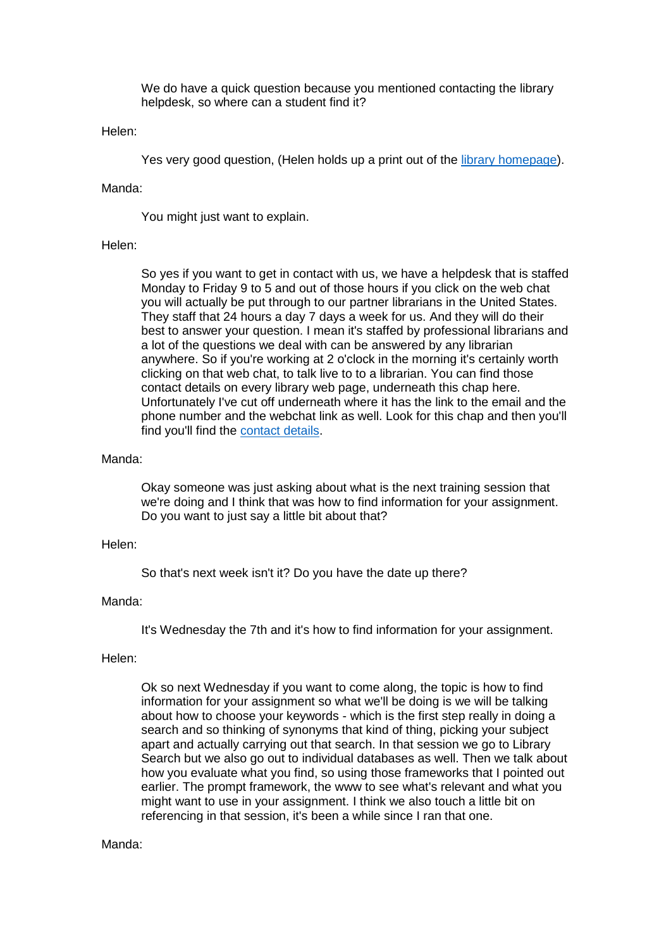We do have a quick question because you mentioned contacting the library helpdesk, so where can a student find it?

### Helen:

Yes very good question, (Helen holds up a print out of the [library homepage\)](http://www.open.ac.uk/library/).

# Manda:

You might just want to explain.

# Helen:

So yes if you want to get in contact with us, we have a helpdesk that is staffed Monday to Friday 9 to 5 and out of those hours if you click on the web chat you will actually be put through to our partner librarians in the United States. They staff that 24 hours a day 7 days a week for us. And they will do their best to answer your question. I mean it's staffed by professional librarians and a lot of the questions we deal with can be answered by any librarian anywhere. So if you're working at 2 o'clock in the morning it's certainly worth clicking on that web chat, to talk live to to a librarian. You can find those contact details on every library web page, underneath this chap here. Unfortunately I've cut off underneath where it has the link to the email and the phone number and the webchat link as well. Look for this chap and then you'll find you'll find the [contact details.](http://www.open.ac.uk/library/help-and-support/contacting-the-helpdesk)

### Manda:

Okay someone was just asking about what is the next training session that we're doing and I think that was how to find information for your assignment. Do you want to just say a little bit about that?

# Helen:

So that's next week isn't it? Do you have the date up there?

# Manda:

It's Wednesday the 7th and it's how to find information for your assignment.

# Helen:

Ok so next Wednesday if you want to come along, the topic is how to find information for your assignment so what we'll be doing is we will be talking about how to choose your keywords - which is the first step really in doing a search and so thinking of synonyms that kind of thing, picking your subject apart and actually carrying out that search. In that session we go to Library Search but we also go out to individual databases as well. Then we talk about how you evaluate what you find, so using those frameworks that I pointed out earlier. The prompt framework, the www to see what's relevant and what you might want to use in your assignment. I think we also touch a little bit on referencing in that session, it's been a while since I ran that one.

# Manda: